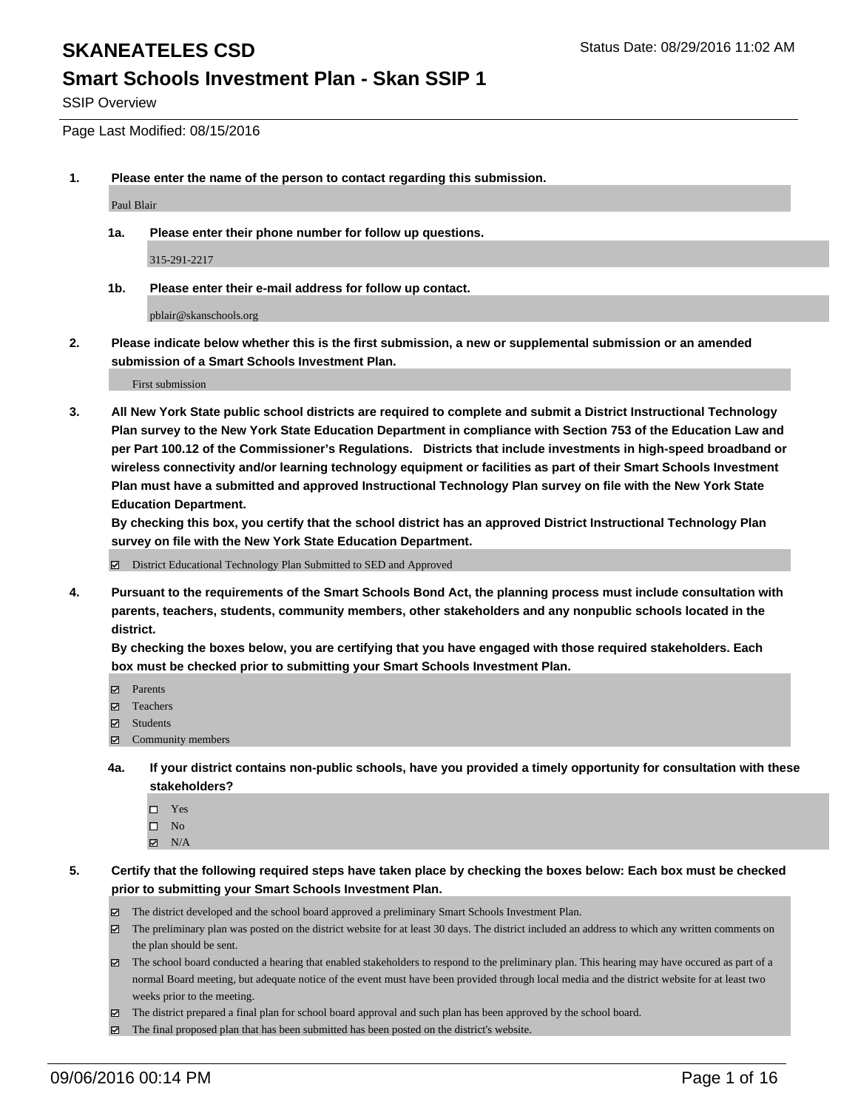#### **Smart Schools Investment Plan - Skan SSIP 1**

SSIP Overview

Page Last Modified: 08/15/2016

**1. Please enter the name of the person to contact regarding this submission.**

Paul Blair

**1a. Please enter their phone number for follow up questions.**

315-291-2217

**1b. Please enter their e-mail address for follow up contact.**

pblair@skanschools.org

**2. Please indicate below whether this is the first submission, a new or supplemental submission or an amended submission of a Smart Schools Investment Plan.**

First submission

**3. All New York State public school districts are required to complete and submit a District Instructional Technology Plan survey to the New York State Education Department in compliance with Section 753 of the Education Law and per Part 100.12 of the Commissioner's Regulations. Districts that include investments in high-speed broadband or wireless connectivity and/or learning technology equipment or facilities as part of their Smart Schools Investment Plan must have a submitted and approved Instructional Technology Plan survey on file with the New York State Education Department.** 

**By checking this box, you certify that the school district has an approved District Instructional Technology Plan survey on file with the New York State Education Department.**

District Educational Technology Plan Submitted to SED and Approved

**4. Pursuant to the requirements of the Smart Schools Bond Act, the planning process must include consultation with parents, teachers, students, community members, other stakeholders and any nonpublic schools located in the district.** 

**By checking the boxes below, you are certifying that you have engaged with those required stakeholders. Each box must be checked prior to submitting your Smart Schools Investment Plan.**

- Parents
- Teachers
- $\boxtimes$  Students
- $\boxtimes$  Community members
- **4a. If your district contains non-public schools, have you provided a timely opportunity for consultation with these stakeholders?**
	- $\Box$  Yes  $\square$  No
	- $\boxtimes$  N/A
- **5. Certify that the following required steps have taken place by checking the boxes below: Each box must be checked prior to submitting your Smart Schools Investment Plan.**
	- The district developed and the school board approved a preliminary Smart Schools Investment Plan.
	- The preliminary plan was posted on the district website for at least 30 days. The district included an address to which any written comments on the plan should be sent.
	- $\boxtimes$  The school board conducted a hearing that enabled stakeholders to respond to the preliminary plan. This hearing may have occured as part of a normal Board meeting, but adequate notice of the event must have been provided through local media and the district website for at least two weeks prior to the meeting.
	- The district prepared a final plan for school board approval and such plan has been approved by the school board.
	- The final proposed plan that has been submitted has been posted on the district's website.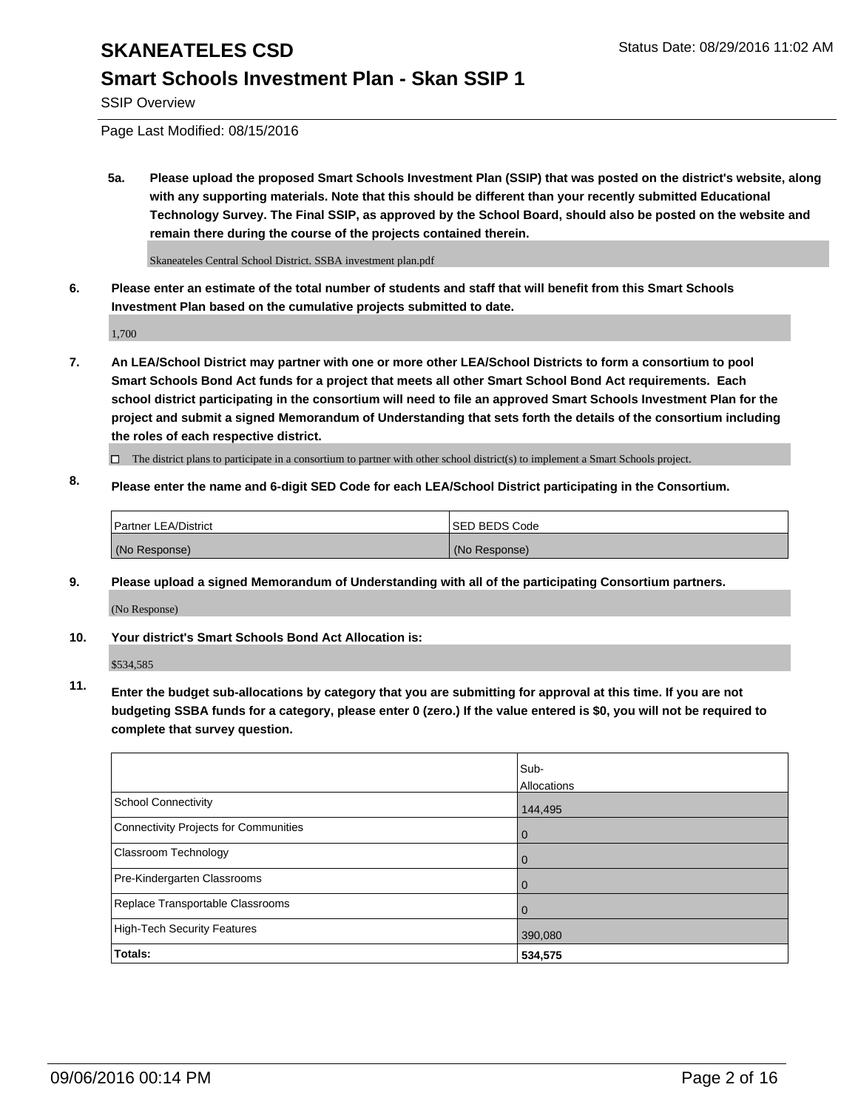#### **Smart Schools Investment Plan - Skan SSIP 1**

SSIP Overview

Page Last Modified: 08/15/2016

**5a. Please upload the proposed Smart Schools Investment Plan (SSIP) that was posted on the district's website, along with any supporting materials. Note that this should be different than your recently submitted Educational Technology Survey. The Final SSIP, as approved by the School Board, should also be posted on the website and remain there during the course of the projects contained therein.**

Skaneateles Central School District. SSBA investment plan.pdf

**6. Please enter an estimate of the total number of students and staff that will benefit from this Smart Schools Investment Plan based on the cumulative projects submitted to date.**

1,700

- **7. An LEA/School District may partner with one or more other LEA/School Districts to form a consortium to pool Smart Schools Bond Act funds for a project that meets all other Smart School Bond Act requirements. Each school district participating in the consortium will need to file an approved Smart Schools Investment Plan for the project and submit a signed Memorandum of Understanding that sets forth the details of the consortium including the roles of each respective district.**
	- $\Box$  The district plans to participate in a consortium to partner with other school district(s) to implement a Smart Schools project.
- **8. Please enter the name and 6-digit SED Code for each LEA/School District participating in the Consortium.**

| Partner LEA/District | <b>ISED BEDS Code</b> |
|----------------------|-----------------------|
| (No Response)        | (No Response)         |

**9. Please upload a signed Memorandum of Understanding with all of the participating Consortium partners.**

(No Response)

#### **10. Your district's Smart Schools Bond Act Allocation is:**

\$534,585

**11. Enter the budget sub-allocations by category that you are submitting for approval at this time. If you are not budgeting SSBA funds for a category, please enter 0 (zero.) If the value entered is \$0, you will not be required to complete that survey question.**

|                                       | Sub-<br>Allocations |
|---------------------------------------|---------------------|
| <b>School Connectivity</b>            | 144,495             |
| Connectivity Projects for Communities | 0                   |
| Classroom Technology                  | 0                   |
| Pre-Kindergarten Classrooms           | $\Omega$            |
| Replace Transportable Classrooms      | 0                   |
| <b>High-Tech Security Features</b>    | 390,080             |
| Totals:                               | 534,575             |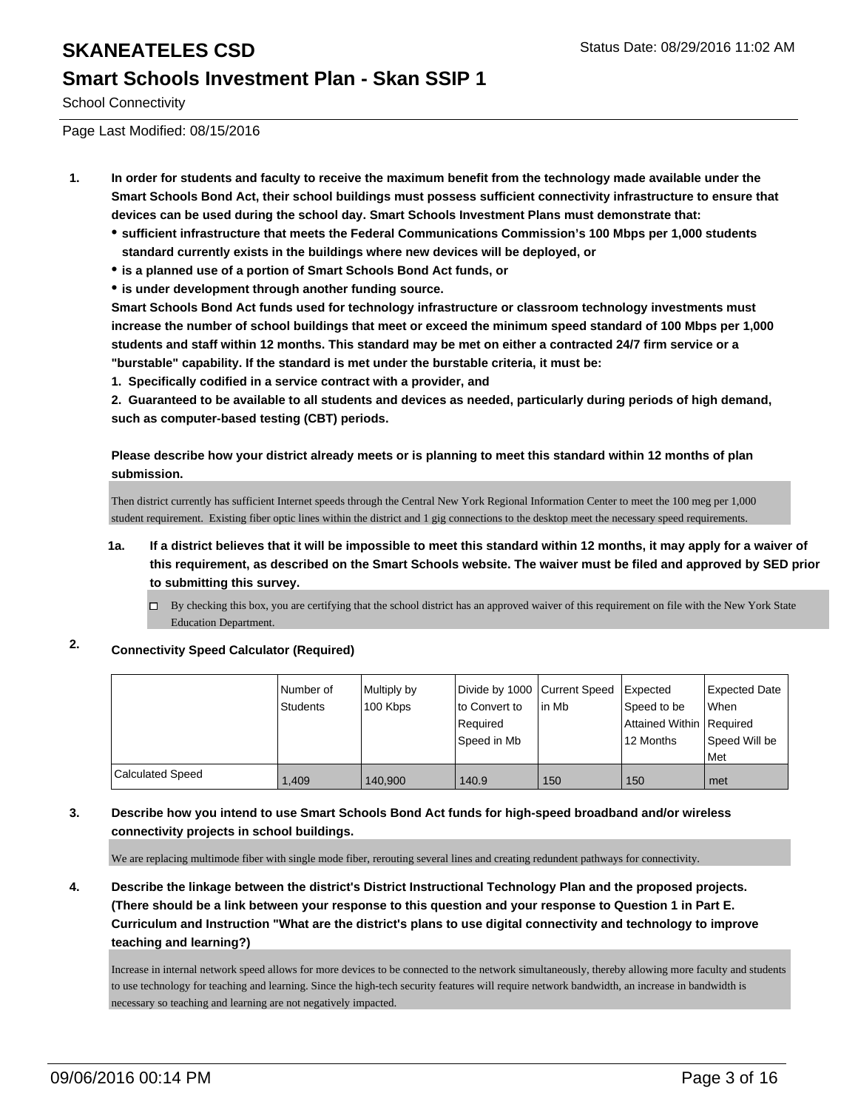#### **Smart Schools Investment Plan - Skan SSIP 1**

School Connectivity

Page Last Modified: 08/15/2016

- **1. In order for students and faculty to receive the maximum benefit from the technology made available under the Smart Schools Bond Act, their school buildings must possess sufficient connectivity infrastructure to ensure that devices can be used during the school day. Smart Schools Investment Plans must demonstrate that:**
	- **sufficient infrastructure that meets the Federal Communications Commission's 100 Mbps per 1,000 students standard currently exists in the buildings where new devices will be deployed, or**
	- **is a planned use of a portion of Smart Schools Bond Act funds, or**
	- **is under development through another funding source.**

**Smart Schools Bond Act funds used for technology infrastructure or classroom technology investments must increase the number of school buildings that meet or exceed the minimum speed standard of 100 Mbps per 1,000 students and staff within 12 months. This standard may be met on either a contracted 24/7 firm service or a "burstable" capability. If the standard is met under the burstable criteria, it must be:**

**1. Specifically codified in a service contract with a provider, and**

**2. Guaranteed to be available to all students and devices as needed, particularly during periods of high demand, such as computer-based testing (CBT) periods.**

**Please describe how your district already meets or is planning to meet this standard within 12 months of plan submission.**

Then district currently has sufficient Internet speeds through the Central New York Regional Information Center to meet the 100 meg per 1,000 student requirement. Existing fiber optic lines within the district and 1 gig connections to the desktop meet the necessary speed requirements.

- **1a. If a district believes that it will be impossible to meet this standard within 12 months, it may apply for a waiver of this requirement, as described on the Smart Schools website. The waiver must be filed and approved by SED prior to submitting this survey.**
	- $\Box$  By checking this box, you are certifying that the school district has an approved waiver of this requirement on file with the New York State Education Department.
- **2. Connectivity Speed Calculator (Required)**

|                         | I Number of<br><b>Students</b> | Multiply by<br>100 Kbps | Divide by 1000 Current Speed   Expected<br>lto Convert to<br>Required<br>Speed in Mb | lin Mb | Speed to be<br>Attained Within Required<br>12 Months | <b>Expected Date</b><br><b>When</b><br>Speed Will be<br>l Met |
|-------------------------|--------------------------------|-------------------------|--------------------------------------------------------------------------------------|--------|------------------------------------------------------|---------------------------------------------------------------|
| <b>Calculated Speed</b> | 1.409                          | 140.900                 | 140.9                                                                                | 150    | 150                                                  | l met                                                         |

#### **3. Describe how you intend to use Smart Schools Bond Act funds for high-speed broadband and/or wireless connectivity projects in school buildings.**

We are replacing multimode fiber with single mode fiber, rerouting several lines and creating redundent pathways for connectivity.

**4. Describe the linkage between the district's District Instructional Technology Plan and the proposed projects. (There should be a link between your response to this question and your response to Question 1 in Part E. Curriculum and Instruction "What are the district's plans to use digital connectivity and technology to improve teaching and learning?)**

Increase in internal network speed allows for more devices to be connected to the network simultaneously, thereby allowing more faculty and students to use technology for teaching and learning. Since the high-tech security features will require network bandwidth, an increase in bandwidth is necessary so teaching and learning are not negatively impacted.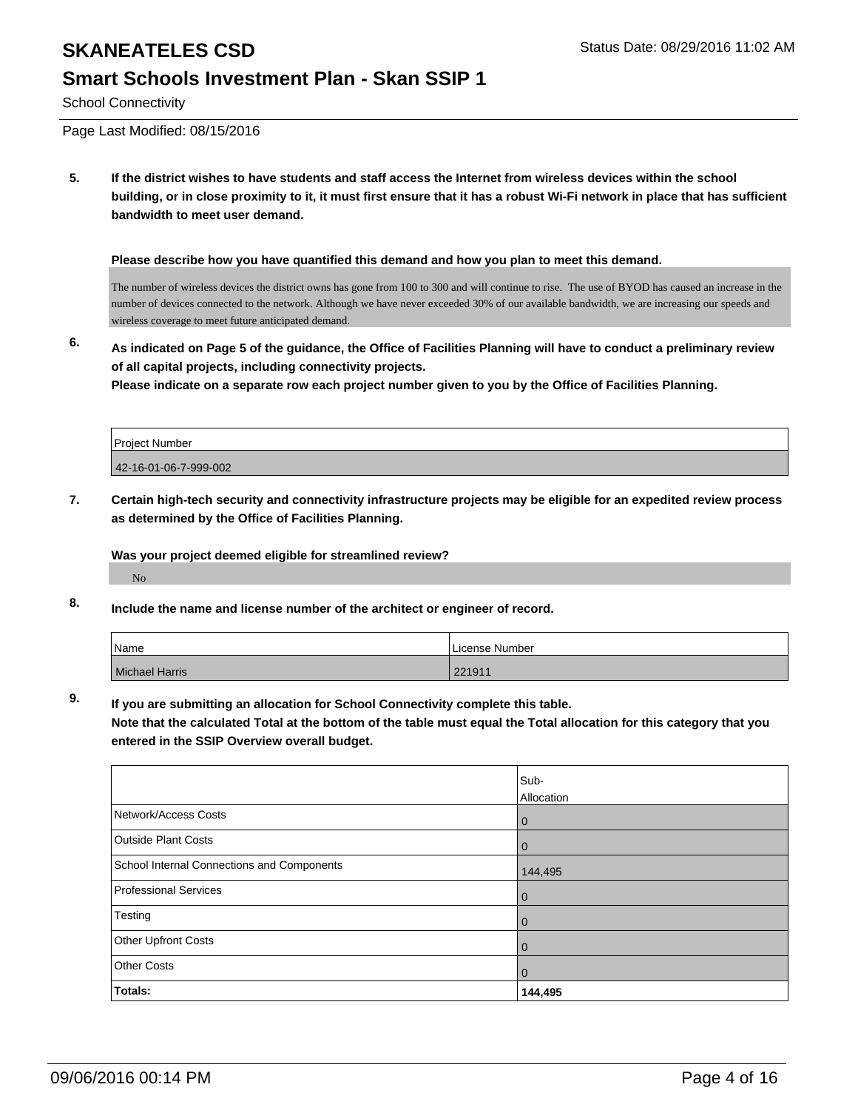#### **Smart Schools Investment Plan - Skan SSIP 1**

School Connectivity

Page Last Modified: 08/15/2016

**5. If the district wishes to have students and staff access the Internet from wireless devices within the school building, or in close proximity to it, it must first ensure that it has a robust Wi-Fi network in place that has sufficient bandwidth to meet user demand.**

**Please describe how you have quantified this demand and how you plan to meet this demand.**

The number of wireless devices the district owns has gone from 100 to 300 and will continue to rise. The use of BYOD has caused an increase in the number of devices connected to the network. Although we have never exceeded 30% of our available bandwidth, we are increasing our speeds and wireless coverage to meet future anticipated demand.

**6. As indicated on Page 5 of the guidance, the Office of Facilities Planning will have to conduct a preliminary review of all capital projects, including connectivity projects.**

**Please indicate on a separate row each project number given to you by the Office of Facilities Planning.**

| <b>Project Number</b> |  |
|-----------------------|--|
| 42-16-01-06-7-999-002 |  |

**7. Certain high-tech security and connectivity infrastructure projects may be eligible for an expedited review process as determined by the Office of Facilities Planning.**

**Was your project deemed eligible for streamlined review?**

No

**8. Include the name and license number of the architect or engineer of record.**

| Name           | License Number |
|----------------|----------------|
| Michael Harris | 221911         |

**9. If you are submitting an allocation for School Connectivity complete this table.**

**Note that the calculated Total at the bottom of the table must equal the Total allocation for this category that you entered in the SSIP Overview overall budget.** 

|                                            | Sub-        |
|--------------------------------------------|-------------|
|                                            | Allocation  |
| Network/Access Costs                       | $\mathbf 0$ |
| <b>Outside Plant Costs</b>                 | $\mathbf 0$ |
| School Internal Connections and Components | 144,495     |
| <b>Professional Services</b>               | $\mathbf 0$ |
| Testing                                    | $\mathbf 0$ |
| Other Upfront Costs                        | $\mathbf 0$ |
| <b>Other Costs</b>                         | $\mathbf 0$ |
| Totals:                                    | 144,495     |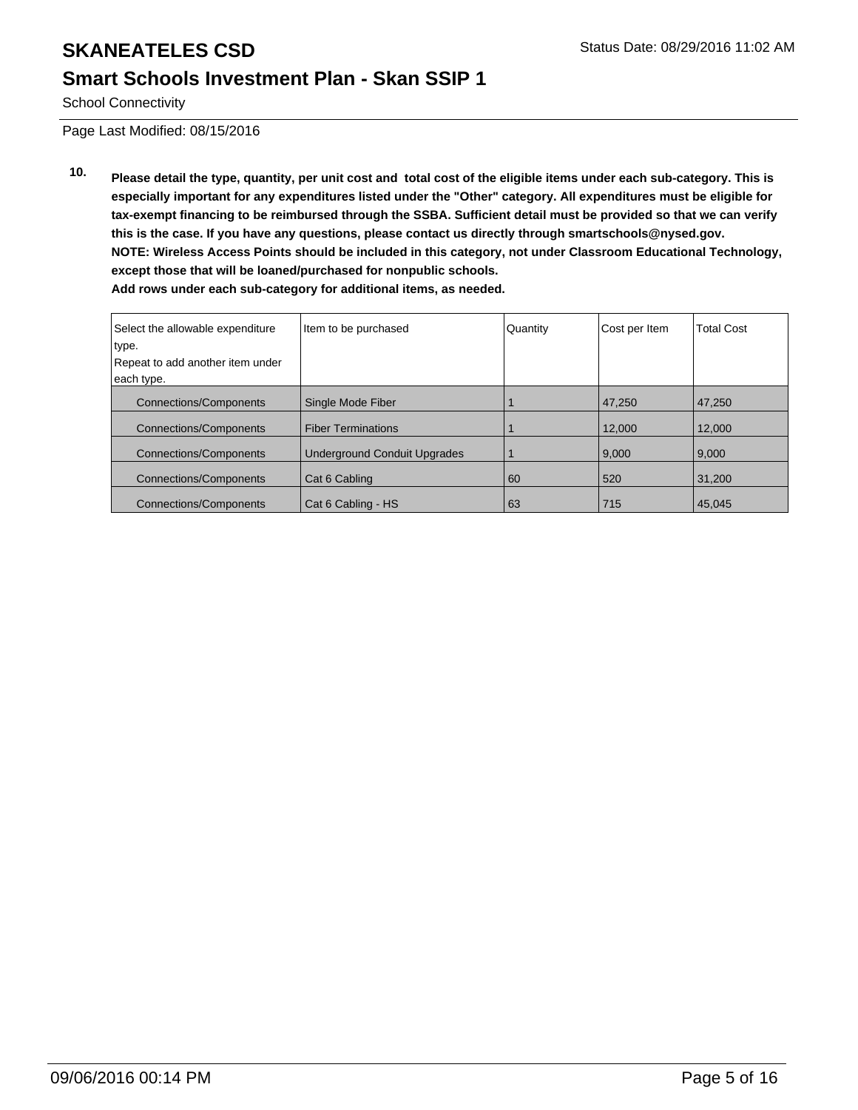#### **Smart Schools Investment Plan - Skan SSIP 1**

School Connectivity

Page Last Modified: 08/15/2016

**10. Please detail the type, quantity, per unit cost and total cost of the eligible items under each sub-category. This is especially important for any expenditures listed under the "Other" category. All expenditures must be eligible for tax-exempt financing to be reimbursed through the SSBA. Sufficient detail must be provided so that we can verify this is the case. If you have any questions, please contact us directly through smartschools@nysed.gov. NOTE: Wireless Access Points should be included in this category, not under Classroom Educational Technology, except those that will be loaned/purchased for nonpublic schools. Add rows under each sub-category for additional items, as needed.**

| Select the allowable expenditure | Item to be purchased                | Quantity | Cost per Item | <b>Total Cost</b> |
|----------------------------------|-------------------------------------|----------|---------------|-------------------|
| type.                            |                                     |          |               |                   |
| Repeat to add another item under |                                     |          |               |                   |
| each type.                       |                                     |          |               |                   |
| <b>Connections/Components</b>    | Single Mode Fiber                   |          | 47,250        | 47,250            |
| <b>Connections/Components</b>    | <b>Fiber Terminations</b>           |          | 12.000        | 12.000            |
| <b>Connections/Components</b>    | <b>Underground Conduit Upgrades</b> |          | 9.000         | 9,000             |
| Connections/Components           | Cat 6 Cabling                       | 60       | 520           | 31.200            |
| <b>Connections/Components</b>    | Cat 6 Cabling - HS                  | 63       | 715           | 45,045            |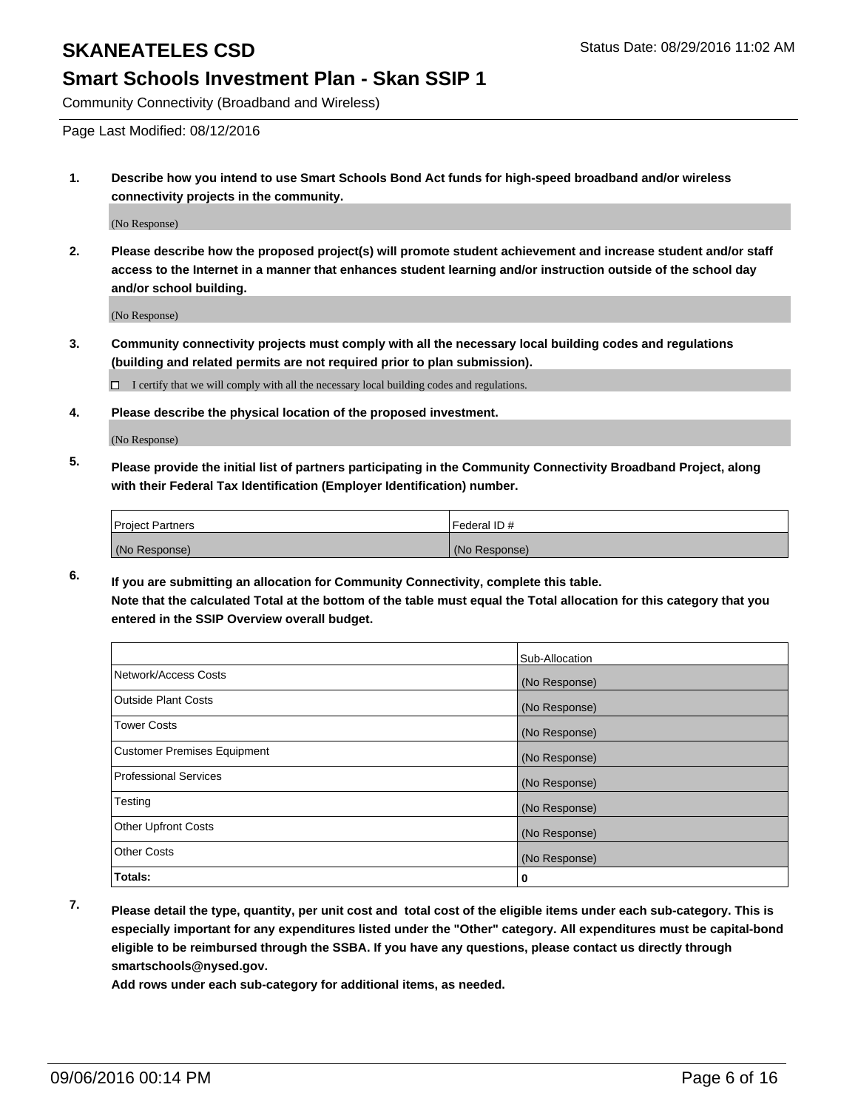#### **Smart Schools Investment Plan - Skan SSIP 1**

Community Connectivity (Broadband and Wireless)

Page Last Modified: 08/12/2016

**1. Describe how you intend to use Smart Schools Bond Act funds for high-speed broadband and/or wireless connectivity projects in the community.**

(No Response)

**2. Please describe how the proposed project(s) will promote student achievement and increase student and/or staff access to the Internet in a manner that enhances student learning and/or instruction outside of the school day and/or school building.**

(No Response)

**3. Community connectivity projects must comply with all the necessary local building codes and regulations (building and related permits are not required prior to plan submission).**

 $\Box$  I certify that we will comply with all the necessary local building codes and regulations.

**4. Please describe the physical location of the proposed investment.**

(No Response)

**5. Please provide the initial list of partners participating in the Community Connectivity Broadband Project, along with their Federal Tax Identification (Employer Identification) number.**

| <b>Project Partners</b> | Federal ID#   |
|-------------------------|---------------|
| (No Response)           | (No Response) |

**6. If you are submitting an allocation for Community Connectivity, complete this table. Note that the calculated Total at the bottom of the table must equal the Total allocation for this category that you entered in the SSIP Overview overall budget.**

|                                    | Sub-Allocation |
|------------------------------------|----------------|
| Network/Access Costs               | (No Response)  |
| <b>Outside Plant Costs</b>         | (No Response)  |
| Tower Costs                        | (No Response)  |
| <b>Customer Premises Equipment</b> | (No Response)  |
| <b>Professional Services</b>       | (No Response)  |
| Testing                            | (No Response)  |
| <b>Other Upfront Costs</b>         | (No Response)  |
| <b>Other Costs</b>                 | (No Response)  |
| Totals:                            | 0              |

**7. Please detail the type, quantity, per unit cost and total cost of the eligible items under each sub-category. This is especially important for any expenditures listed under the "Other" category. All expenditures must be capital-bond eligible to be reimbursed through the SSBA. If you have any questions, please contact us directly through smartschools@nysed.gov.**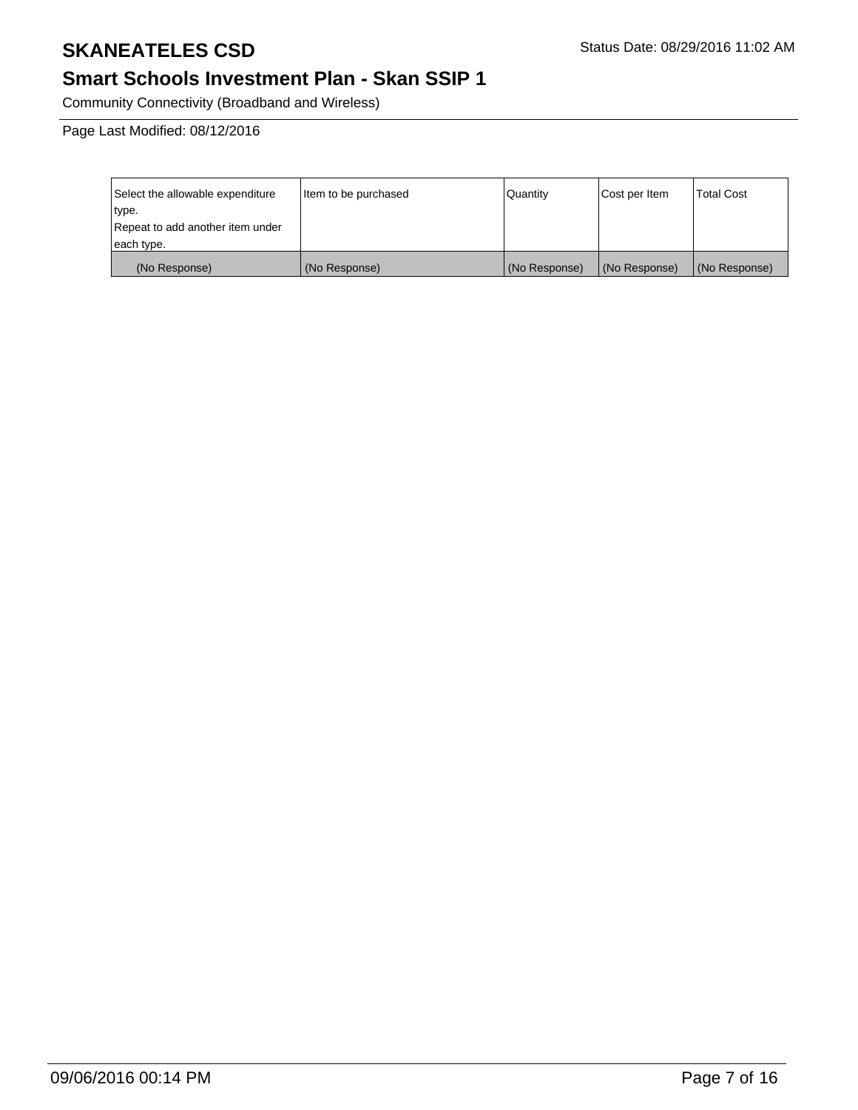## **Smart Schools Investment Plan - Skan SSIP 1**

Community Connectivity (Broadband and Wireless)

Page Last Modified: 08/12/2016

| Select the allowable expenditure | Item to be purchased | l Quantitv    | Cost per Item | Total Cost    |
|----------------------------------|----------------------|---------------|---------------|---------------|
| type.                            |                      |               |               |               |
| Repeat to add another item under |                      |               |               |               |
| each type.                       |                      |               |               |               |
| (No Response)                    | (No Response)        | (No Response) | (No Response) | (No Response) |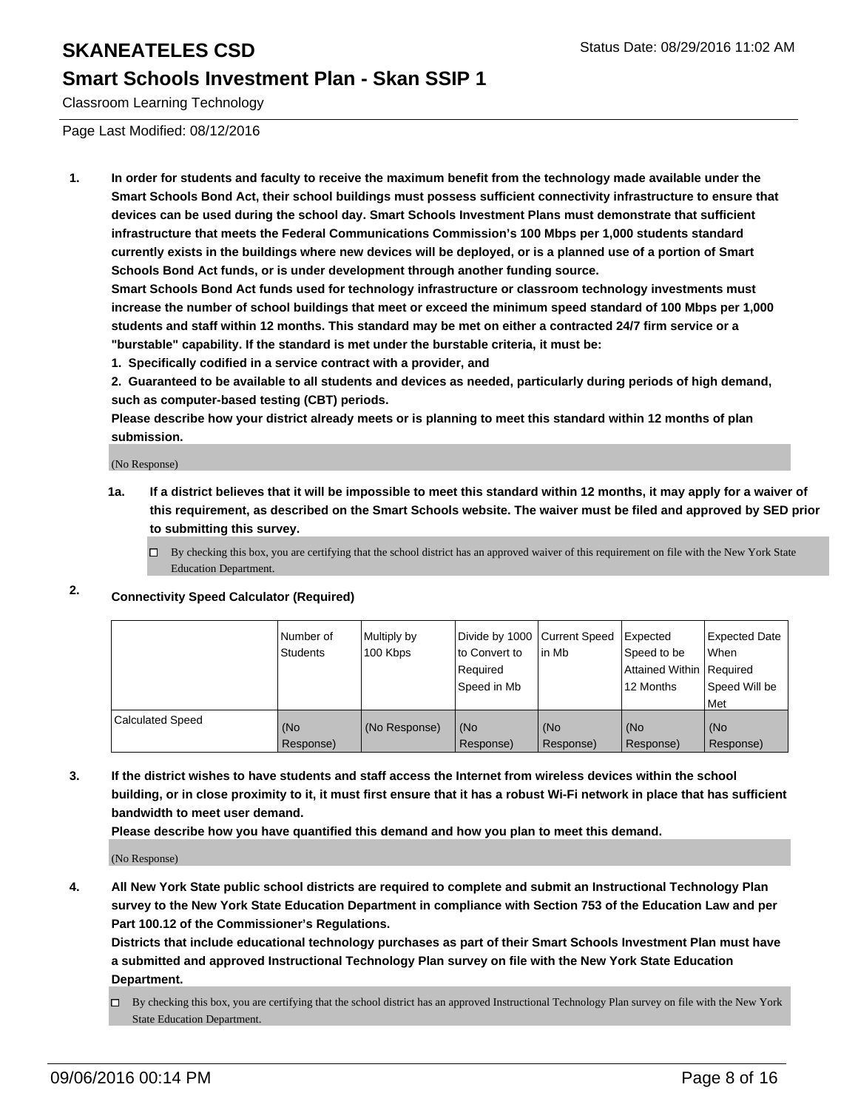#### **Smart Schools Investment Plan - Skan SSIP 1**

Classroom Learning Technology

Page Last Modified: 08/12/2016

**1. In order for students and faculty to receive the maximum benefit from the technology made available under the Smart Schools Bond Act, their school buildings must possess sufficient connectivity infrastructure to ensure that devices can be used during the school day. Smart Schools Investment Plans must demonstrate that sufficient infrastructure that meets the Federal Communications Commission's 100 Mbps per 1,000 students standard currently exists in the buildings where new devices will be deployed, or is a planned use of a portion of Smart Schools Bond Act funds, or is under development through another funding source.**

**Smart Schools Bond Act funds used for technology infrastructure or classroom technology investments must increase the number of school buildings that meet or exceed the minimum speed standard of 100 Mbps per 1,000 students and staff within 12 months. This standard may be met on either a contracted 24/7 firm service or a "burstable" capability. If the standard is met under the burstable criteria, it must be:**

**1. Specifically codified in a service contract with a provider, and**

**2. Guaranteed to be available to all students and devices as needed, particularly during periods of high demand, such as computer-based testing (CBT) periods.**

**Please describe how your district already meets or is planning to meet this standard within 12 months of plan submission.**

(No Response)

- **1a. If a district believes that it will be impossible to meet this standard within 12 months, it may apply for a waiver of this requirement, as described on the Smart Schools website. The waiver must be filed and approved by SED prior to submitting this survey.**
	- $\Box$  By checking this box, you are certifying that the school district has an approved waiver of this requirement on file with the New York State Education Department.
- **2. Connectivity Speed Calculator (Required)**

|                         | l Number of<br>Students | Multiply by<br>100 Kbps | Divide by 1000 Current Speed<br>to Convert to<br>l Reauired<br>Speed in Mb | lin Mb           | <b>Expected</b><br>Speed to be<br>Attained Within   Required<br>12 Months | Expected Date<br>When<br>Speed Will be<br>l Met |
|-------------------------|-------------------------|-------------------------|----------------------------------------------------------------------------|------------------|---------------------------------------------------------------------------|-------------------------------------------------|
| <b>Calculated Speed</b> | (No<br>Response)        | (No Response)           | (No<br>Response)                                                           | (No<br>Response) | (No<br>Response)                                                          | (No<br>Response)                                |

**3. If the district wishes to have students and staff access the Internet from wireless devices within the school building, or in close proximity to it, it must first ensure that it has a robust Wi-Fi network in place that has sufficient bandwidth to meet user demand.**

**Please describe how you have quantified this demand and how you plan to meet this demand.**

(No Response)

**4. All New York State public school districts are required to complete and submit an Instructional Technology Plan survey to the New York State Education Department in compliance with Section 753 of the Education Law and per Part 100.12 of the Commissioner's Regulations.**

**Districts that include educational technology purchases as part of their Smart Schools Investment Plan must have a submitted and approved Instructional Technology Plan survey on file with the New York State Education Department.**

By checking this box, you are certifying that the school district has an approved Instructional Technology Plan survey on file with the New York State Education Department.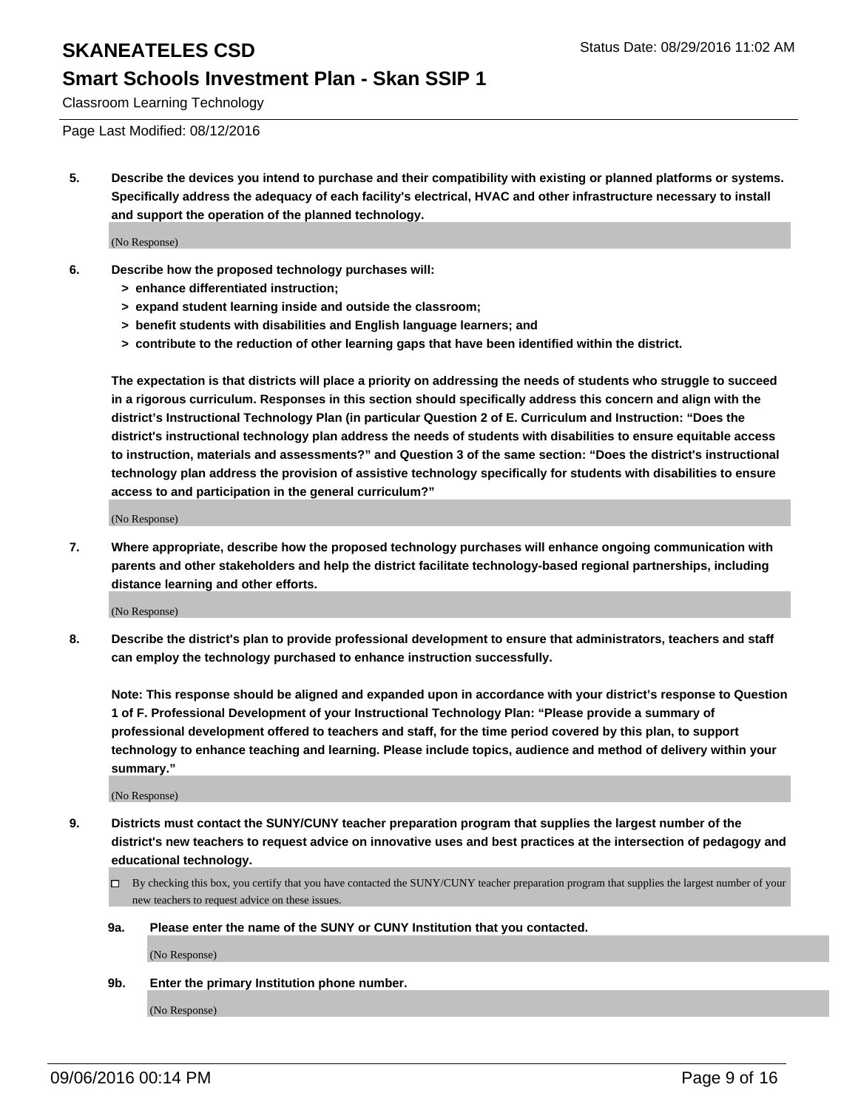#### **Smart Schools Investment Plan - Skan SSIP 1**

Classroom Learning Technology

Page Last Modified: 08/12/2016

**5. Describe the devices you intend to purchase and their compatibility with existing or planned platforms or systems. Specifically address the adequacy of each facility's electrical, HVAC and other infrastructure necessary to install and support the operation of the planned technology.**

(No Response)

- **6. Describe how the proposed technology purchases will:**
	- **> enhance differentiated instruction;**
	- **> expand student learning inside and outside the classroom;**
	- **> benefit students with disabilities and English language learners; and**
	- **> contribute to the reduction of other learning gaps that have been identified within the district.**

**The expectation is that districts will place a priority on addressing the needs of students who struggle to succeed in a rigorous curriculum. Responses in this section should specifically address this concern and align with the district's Instructional Technology Plan (in particular Question 2 of E. Curriculum and Instruction: "Does the district's instructional technology plan address the needs of students with disabilities to ensure equitable access to instruction, materials and assessments?" and Question 3 of the same section: "Does the district's instructional technology plan address the provision of assistive technology specifically for students with disabilities to ensure access to and participation in the general curriculum?"**

(No Response)

**7. Where appropriate, describe how the proposed technology purchases will enhance ongoing communication with parents and other stakeholders and help the district facilitate technology-based regional partnerships, including distance learning and other efforts.**

(No Response)

**8. Describe the district's plan to provide professional development to ensure that administrators, teachers and staff can employ the technology purchased to enhance instruction successfully.**

**Note: This response should be aligned and expanded upon in accordance with your district's response to Question 1 of F. Professional Development of your Instructional Technology Plan: "Please provide a summary of professional development offered to teachers and staff, for the time period covered by this plan, to support technology to enhance teaching and learning. Please include topics, audience and method of delivery within your summary."**

(No Response)

- **9. Districts must contact the SUNY/CUNY teacher preparation program that supplies the largest number of the district's new teachers to request advice on innovative uses and best practices at the intersection of pedagogy and educational technology.**
	- $\Box$  By checking this box, you certify that you have contacted the SUNY/CUNY teacher preparation program that supplies the largest number of your new teachers to request advice on these issues.
	- **9a. Please enter the name of the SUNY or CUNY Institution that you contacted.**

(No Response)

**9b. Enter the primary Institution phone number.**

(No Response)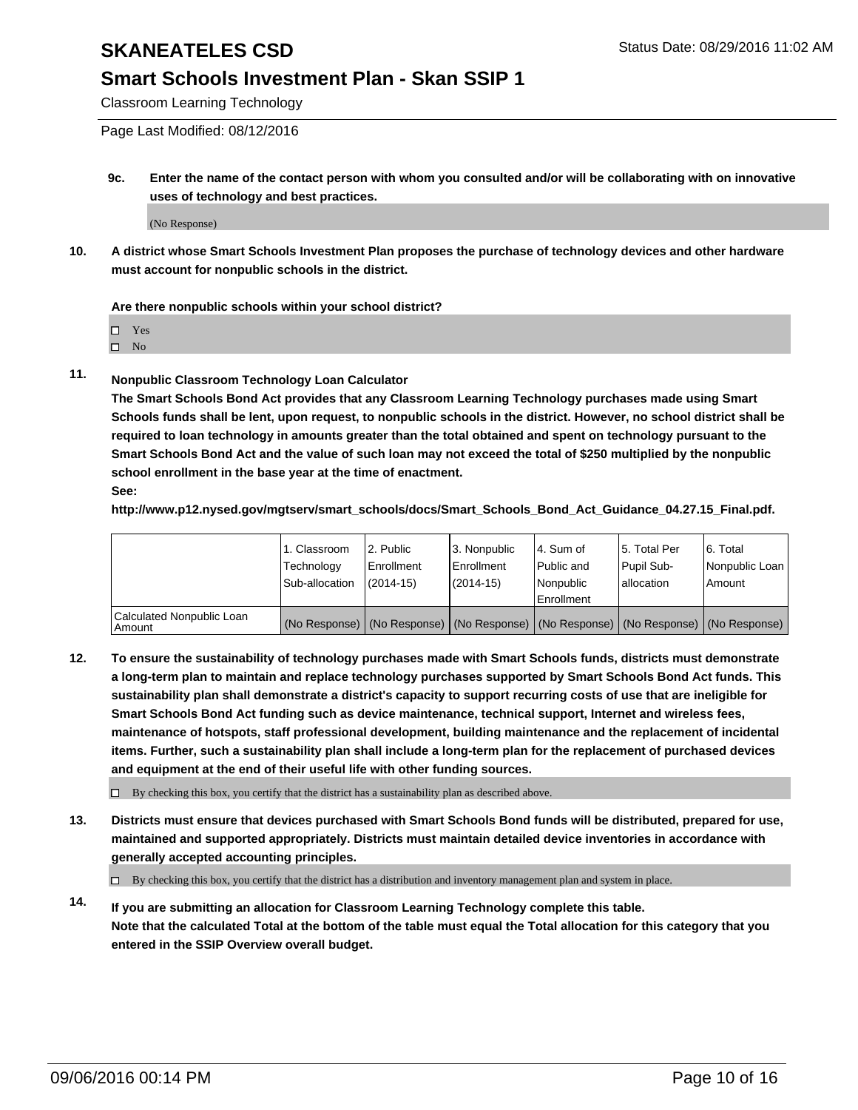#### **Smart Schools Investment Plan - Skan SSIP 1**

Classroom Learning Technology

Page Last Modified: 08/12/2016

**9c. Enter the name of the contact person with whom you consulted and/or will be collaborating with on innovative uses of technology and best practices.**

(No Response)

**10. A district whose Smart Schools Investment Plan proposes the purchase of technology devices and other hardware must account for nonpublic schools in the district.**

**Are there nonpublic schools within your school district?**

□ Yes

 $\square$  No

**11. Nonpublic Classroom Technology Loan Calculator**

**The Smart Schools Bond Act provides that any Classroom Learning Technology purchases made using Smart Schools funds shall be lent, upon request, to nonpublic schools in the district. However, no school district shall be required to loan technology in amounts greater than the total obtained and spent on technology pursuant to the Smart Schools Bond Act and the value of such loan may not exceed the total of \$250 multiplied by the nonpublic school enrollment in the base year at the time of enactment. See:**

**http://www.p12.nysed.gov/mgtserv/smart\_schools/docs/Smart\_Schools\_Bond\_Act\_Guidance\_04.27.15\_Final.pdf.**

|                                         | 1. Classroom   | 2. Public         | 3. Nonpublic                                                                                  | l 4. Sum of  | 5. Total Per | 6. Total       |
|-----------------------------------------|----------------|-------------------|-----------------------------------------------------------------------------------------------|--------------|--------------|----------------|
|                                         | Technology     | <b>Enrollment</b> | Enrollment                                                                                    | l Public and | Pupil Sub-   | Nonpublic Loan |
|                                         | Sub-allocation | $(2014 - 15)$     | $(2014-15)$                                                                                   | Nonpublic    | lallocation  | Amount         |
| Calculated Nonpublic Loan<br>l Amount i |                |                   | (No Response)   (No Response)   (No Response)   (No Response)   (No Response)   (No Response) | Enrollment   |              |                |

**12. To ensure the sustainability of technology purchases made with Smart Schools funds, districts must demonstrate a long-term plan to maintain and replace technology purchases supported by Smart Schools Bond Act funds. This sustainability plan shall demonstrate a district's capacity to support recurring costs of use that are ineligible for Smart Schools Bond Act funding such as device maintenance, technical support, Internet and wireless fees, maintenance of hotspots, staff professional development, building maintenance and the replacement of incidental items. Further, such a sustainability plan shall include a long-term plan for the replacement of purchased devices and equipment at the end of their useful life with other funding sources.**

 $\square$  By checking this box, you certify that the district has a sustainability plan as described above.

**13. Districts must ensure that devices purchased with Smart Schools Bond funds will be distributed, prepared for use, maintained and supported appropriately. Districts must maintain detailed device inventories in accordance with generally accepted accounting principles.**

By checking this box, you certify that the district has a distribution and inventory management plan and system in place.

**14. If you are submitting an allocation for Classroom Learning Technology complete this table. Note that the calculated Total at the bottom of the table must equal the Total allocation for this category that you entered in the SSIP Overview overall budget.**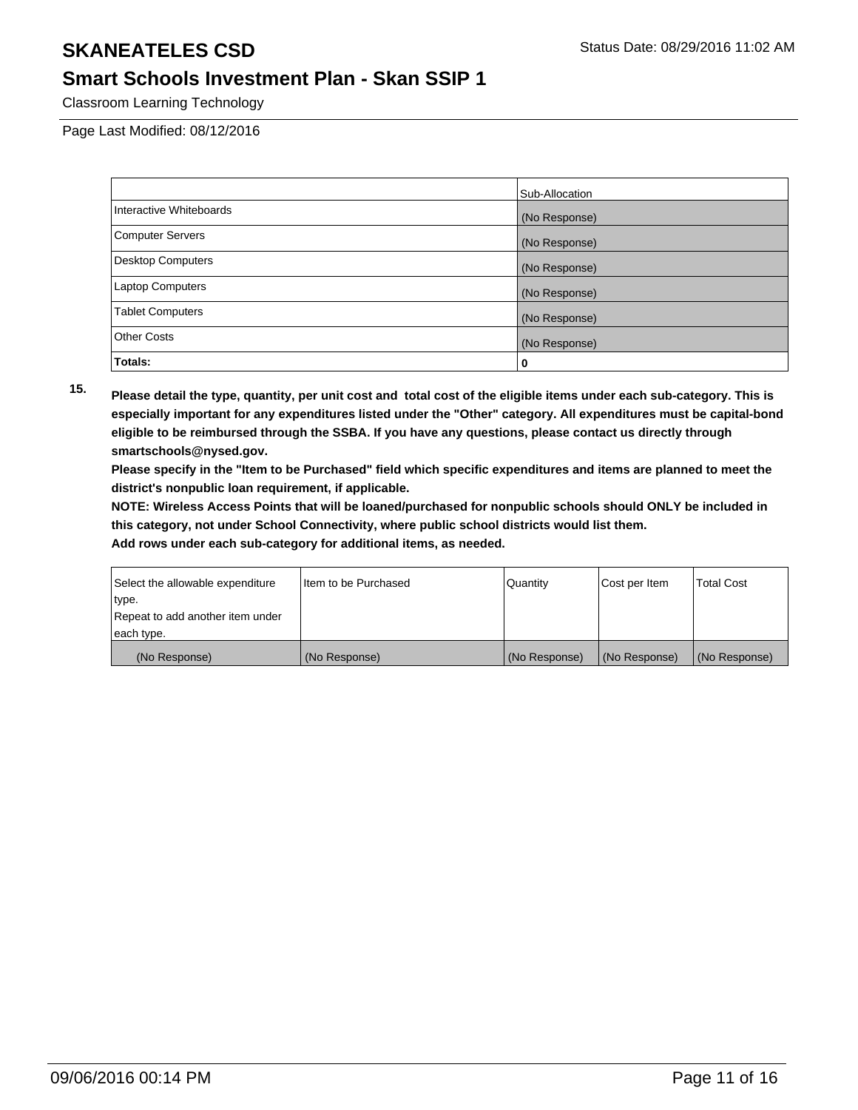#### **Smart Schools Investment Plan - Skan SSIP 1**

Classroom Learning Technology

Page Last Modified: 08/12/2016

|                          | Sub-Allocation |
|--------------------------|----------------|
| Interactive Whiteboards  | (No Response)  |
| <b>Computer Servers</b>  | (No Response)  |
| <b>Desktop Computers</b> | (No Response)  |
| <b>Laptop Computers</b>  | (No Response)  |
| <b>Tablet Computers</b>  | (No Response)  |
| <b>Other Costs</b>       | (No Response)  |
| Totals:                  | 0              |

**15. Please detail the type, quantity, per unit cost and total cost of the eligible items under each sub-category. This is especially important for any expenditures listed under the "Other" category. All expenditures must be capital-bond eligible to be reimbursed through the SSBA. If you have any questions, please contact us directly through smartschools@nysed.gov.**

**Please specify in the "Item to be Purchased" field which specific expenditures and items are planned to meet the district's nonpublic loan requirement, if applicable.**

**NOTE: Wireless Access Points that will be loaned/purchased for nonpublic schools should ONLY be included in this category, not under School Connectivity, where public school districts would list them.**

| Select the allowable expenditure | Item to be Purchased | l Quantitv    | Cost per Item | <b>Total Cost</b> |
|----------------------------------|----------------------|---------------|---------------|-------------------|
| ∣type.                           |                      |               |               |                   |
| Repeat to add another item under |                      |               |               |                   |
| each type.                       |                      |               |               |                   |
| (No Response)                    | (No Response)        | (No Response) | (No Response) | (No Response)     |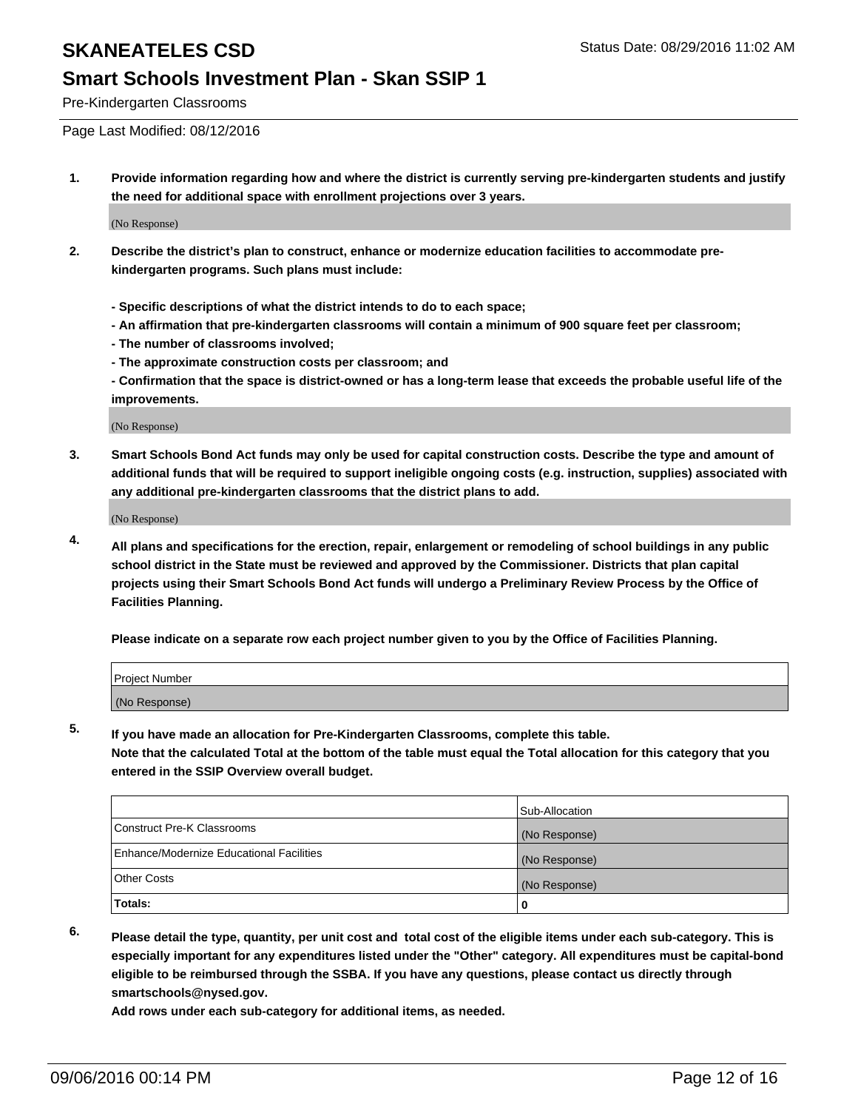#### **Smart Schools Investment Plan - Skan SSIP 1**

Pre-Kindergarten Classrooms

Page Last Modified: 08/12/2016

**1. Provide information regarding how and where the district is currently serving pre-kindergarten students and justify the need for additional space with enrollment projections over 3 years.**

(No Response)

- **2. Describe the district's plan to construct, enhance or modernize education facilities to accommodate prekindergarten programs. Such plans must include:**
	- **Specific descriptions of what the district intends to do to each space;**
	- **An affirmation that pre-kindergarten classrooms will contain a minimum of 900 square feet per classroom;**
	- **The number of classrooms involved;**
	- **The approximate construction costs per classroom; and**
	- **Confirmation that the space is district-owned or has a long-term lease that exceeds the probable useful life of the improvements.**

(No Response)

**3. Smart Schools Bond Act funds may only be used for capital construction costs. Describe the type and amount of additional funds that will be required to support ineligible ongoing costs (e.g. instruction, supplies) associated with any additional pre-kindergarten classrooms that the district plans to add.**

(No Response)

**4. All plans and specifications for the erection, repair, enlargement or remodeling of school buildings in any public school district in the State must be reviewed and approved by the Commissioner. Districts that plan capital projects using their Smart Schools Bond Act funds will undergo a Preliminary Review Process by the Office of Facilities Planning.**

**Please indicate on a separate row each project number given to you by the Office of Facilities Planning.**

| Project Number |  |  |
|----------------|--|--|
| (No Response)  |  |  |

**5. If you have made an allocation for Pre-Kindergarten Classrooms, complete this table.**

**Note that the calculated Total at the bottom of the table must equal the Total allocation for this category that you entered in the SSIP Overview overall budget.**

|                                          | Sub-Allocation |
|------------------------------------------|----------------|
| Construct Pre-K Classrooms               | (No Response)  |
| Enhance/Modernize Educational Facilities | (No Response)  |
| Other Costs                              | (No Response)  |
| <b>Totals:</b>                           |                |

**6. Please detail the type, quantity, per unit cost and total cost of the eligible items under each sub-category. This is**

**especially important for any expenditures listed under the "Other" category. All expenditures must be capital-bond eligible to be reimbursed through the SSBA. If you have any questions, please contact us directly through smartschools@nysed.gov.**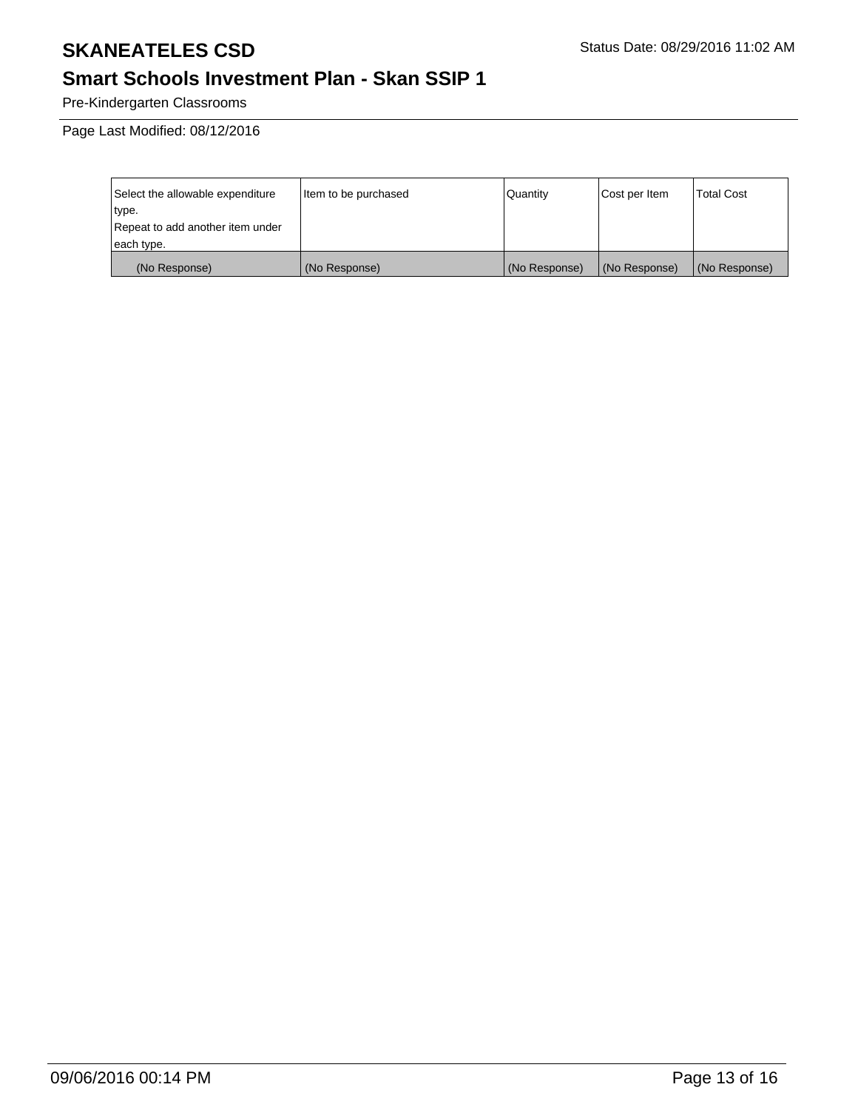# **Smart Schools Investment Plan - Skan SSIP 1**

Pre-Kindergarten Classrooms

Page Last Modified: 08/12/2016

| Select the allowable expenditure | Item to be purchased | Quantity      | Cost per Item | <b>Total Cost</b> |
|----------------------------------|----------------------|---------------|---------------|-------------------|
| type.                            |                      |               |               |                   |
| Repeat to add another item under |                      |               |               |                   |
| each type.                       |                      |               |               |                   |
| (No Response)                    | (No Response)        | (No Response) | (No Response) | (No Response)     |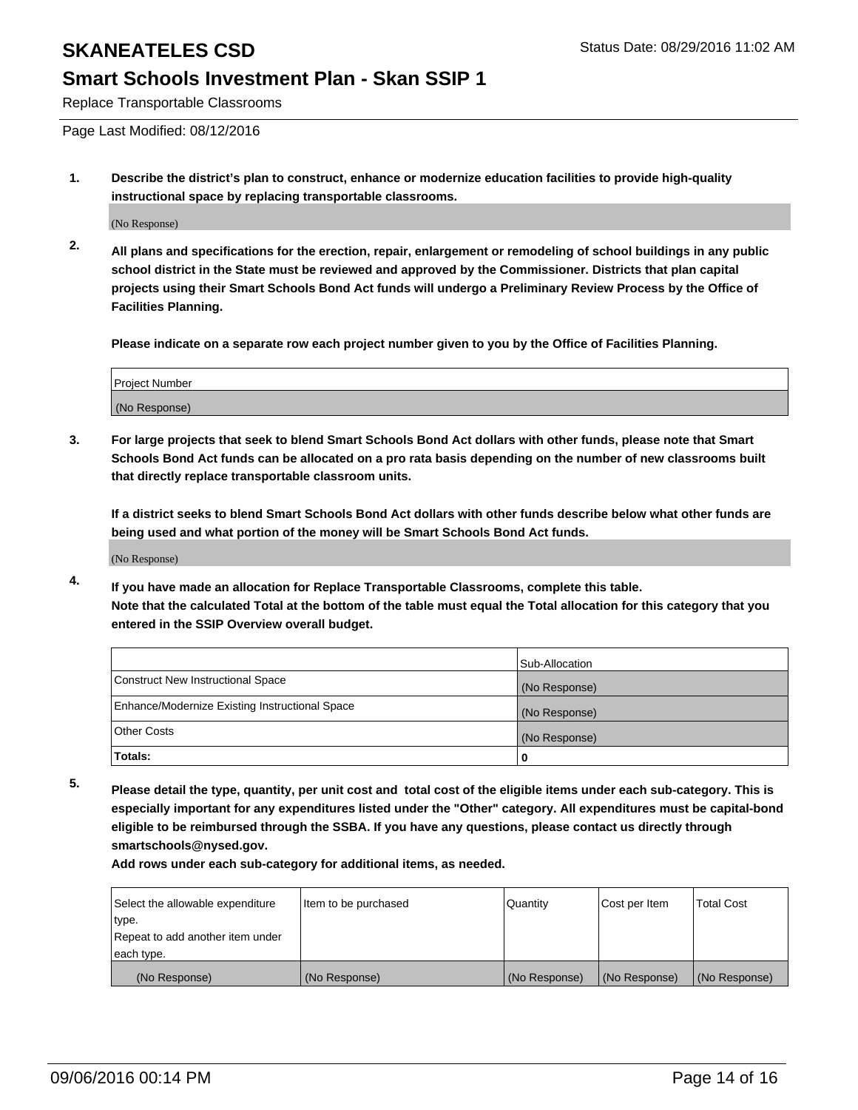#### **Smart Schools Investment Plan - Skan SSIP 1**

Replace Transportable Classrooms

Page Last Modified: 08/12/2016

**1. Describe the district's plan to construct, enhance or modernize education facilities to provide high-quality instructional space by replacing transportable classrooms.**

(No Response)

**2. All plans and specifications for the erection, repair, enlargement or remodeling of school buildings in any public school district in the State must be reviewed and approved by the Commissioner. Districts that plan capital projects using their Smart Schools Bond Act funds will undergo a Preliminary Review Process by the Office of Facilities Planning.**

**Please indicate on a separate row each project number given to you by the Office of Facilities Planning.**

| Project Number |  |
|----------------|--|
| (No Response)  |  |

**3. For large projects that seek to blend Smart Schools Bond Act dollars with other funds, please note that Smart Schools Bond Act funds can be allocated on a pro rata basis depending on the number of new classrooms built that directly replace transportable classroom units.**

**If a district seeks to blend Smart Schools Bond Act dollars with other funds describe below what other funds are being used and what portion of the money will be Smart Schools Bond Act funds.**

(No Response)

**4. If you have made an allocation for Replace Transportable Classrooms, complete this table. Note that the calculated Total at the bottom of the table must equal the Total allocation for this category that you entered in the SSIP Overview overall budget.**

|                                                | Sub-Allocation |
|------------------------------------------------|----------------|
| Construct New Instructional Space              | (No Response)  |
| Enhance/Modernize Existing Instructional Space | (No Response)  |
| Other Costs                                    | (No Response)  |
| Totals:                                        | 0              |

**5. Please detail the type, quantity, per unit cost and total cost of the eligible items under each sub-category. This is especially important for any expenditures listed under the "Other" category. All expenditures must be capital-bond eligible to be reimbursed through the SSBA. If you have any questions, please contact us directly through smartschools@nysed.gov.**

| Select the allowable expenditure | Item to be purchased | Quantity      | Cost per Item | Total Cost    |
|----------------------------------|----------------------|---------------|---------------|---------------|
| type.                            |                      |               |               |               |
| Repeat to add another item under |                      |               |               |               |
| each type.                       |                      |               |               |               |
| (No Response)                    | (No Response)        | (No Response) | (No Response) | (No Response) |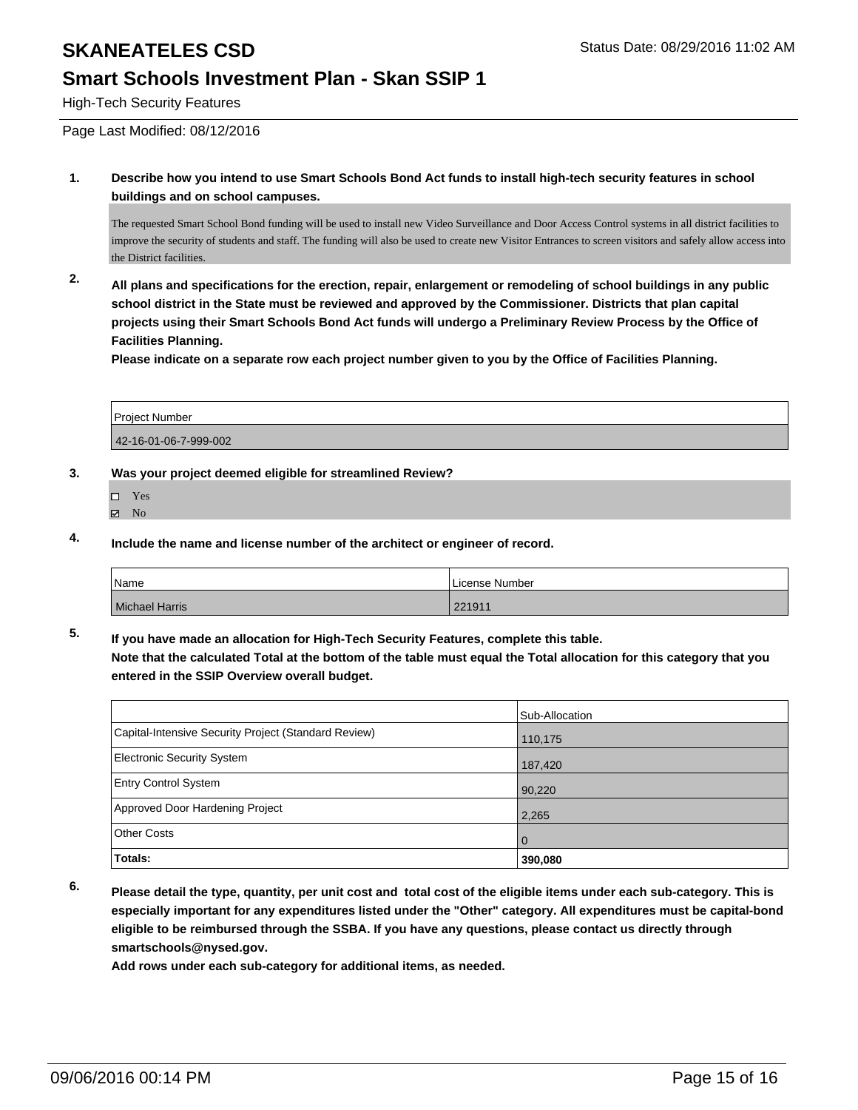#### **Smart Schools Investment Plan - Skan SSIP 1**

High-Tech Security Features

Page Last Modified: 08/12/2016

**1. Describe how you intend to use Smart Schools Bond Act funds to install high-tech security features in school buildings and on school campuses.**

The requested Smart School Bond funding will be used to install new Video Surveillance and Door Access Control systems in all district facilities to improve the security of students and staff. The funding will also be used to create new Visitor Entrances to screen visitors and safely allow access into the District facilities.

**2. All plans and specifications for the erection, repair, enlargement or remodeling of school buildings in any public school district in the State must be reviewed and approved by the Commissioner. Districts that plan capital projects using their Smart Schools Bond Act funds will undergo a Preliminary Review Process by the Office of Facilities Planning.** 

**Please indicate on a separate row each project number given to you by the Office of Facilities Planning.**

| Project Number        |  |
|-----------------------|--|
| 42-16-01-06-7-999-002 |  |

#### **3. Was your project deemed eligible for streamlined Review?**

- $\Box$ Yes
- **Z** No
- **4. Include the name and license number of the architect or engineer of record.**

| <b>Name</b>    | License Number |
|----------------|----------------|
| Michael Harris | 221911         |

**5. If you have made an allocation for High-Tech Security Features, complete this table. Note that the calculated Total at the bottom of the table must equal the Total allocation for this category that you entered in the SSIP Overview overall budget.**

|                                                      | Sub-Allocation |
|------------------------------------------------------|----------------|
| Capital-Intensive Security Project (Standard Review) | 110,175        |
| Electronic Security System                           | 187,420        |
| <b>Entry Control System</b>                          | 90,220         |
| Approved Door Hardening Project                      | 2,265          |
| Other Costs                                          | l 0            |
| Totals:                                              | 390,080        |

**6. Please detail the type, quantity, per unit cost and total cost of the eligible items under each sub-category. This is especially important for any expenditures listed under the "Other" category. All expenditures must be capital-bond eligible to be reimbursed through the SSBA. If you have any questions, please contact us directly through smartschools@nysed.gov.**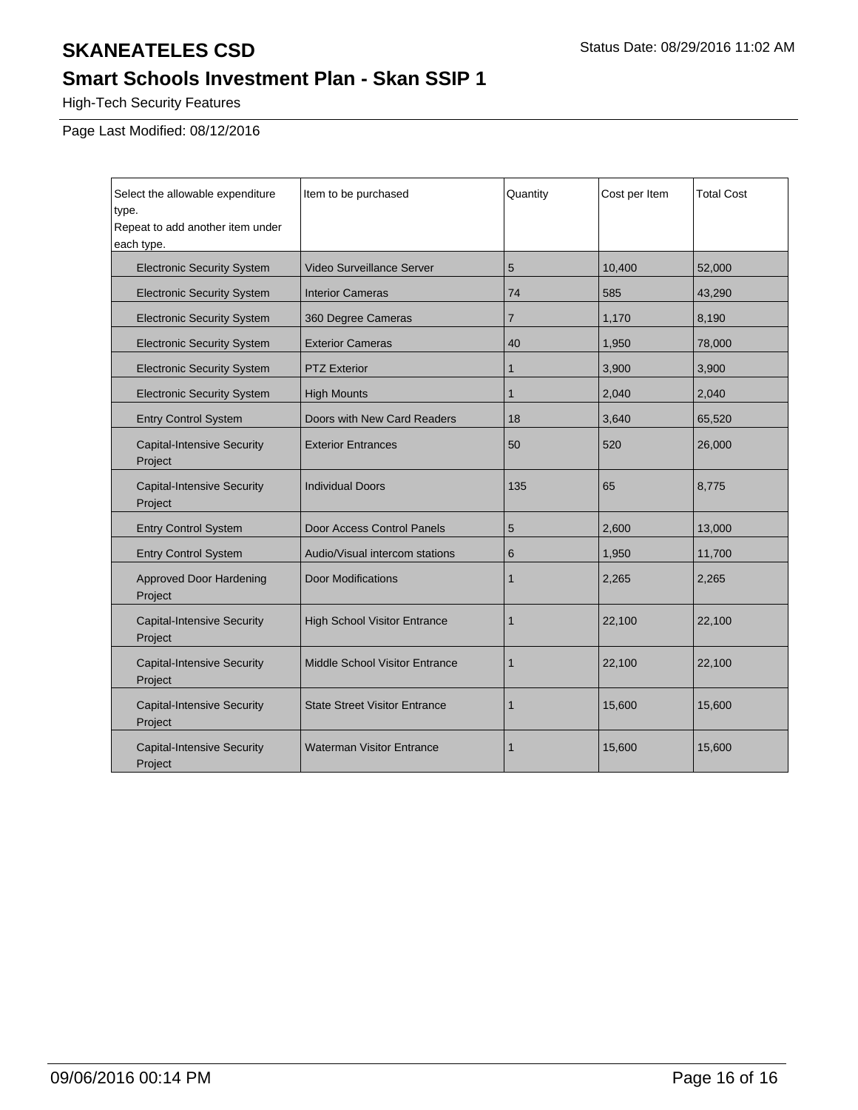## **Smart Schools Investment Plan - Skan SSIP 1**

High-Tech Security Features

Page Last Modified: 08/12/2016

| Select the allowable expenditure<br>type.<br>Repeat to add another item under<br>each type. | Item to be purchased                  | Quantity     | Cost per Item | <b>Total Cost</b> |
|---------------------------------------------------------------------------------------------|---------------------------------------|--------------|---------------|-------------------|
| <b>Electronic Security System</b>                                                           | Video Surveillance Server             | 5            | 10,400        | 52,000            |
| <b>Electronic Security System</b>                                                           | <b>Interior Cameras</b>               | 74           | 585           | 43,290            |
| <b>Electronic Security System</b>                                                           | 360 Degree Cameras                    | 7            | 1,170         | 8,190             |
| <b>Electronic Security System</b>                                                           | <b>Exterior Cameras</b>               | 40           | 1,950         | 78,000            |
| <b>Electronic Security System</b>                                                           | <b>PTZ Exterior</b>                   | 1            | 3,900         | 3,900             |
| <b>Electronic Security System</b>                                                           | <b>High Mounts</b>                    | $\mathbf{1}$ | 2,040         | 2,040             |
| <b>Entry Control System</b>                                                                 | Doors with New Card Readers           | 18           | 3,640         | 65,520            |
| <b>Capital-Intensive Security</b><br>Project                                                | <b>Exterior Entrances</b>             | 50           | 520           | 26,000            |
| <b>Capital-Intensive Security</b><br>Project                                                | <b>Individual Doors</b>               | 135          | 65            | 8,775             |
| <b>Entry Control System</b>                                                                 | Door Access Control Panels            | 5            | 2,600         | 13,000            |
| <b>Entry Control System</b>                                                                 | Audio/Visual intercom stations        | 6            | 1,950         | 11,700            |
| <b>Approved Door Hardening</b><br>Project                                                   | <b>Door Modifications</b>             | $\mathbf 1$  | 2,265         | 2,265             |
| <b>Capital-Intensive Security</b><br>Project                                                | <b>High School Visitor Entrance</b>   | 1            | 22,100        | 22,100            |
| <b>Capital-Intensive Security</b><br>Project                                                | <b>Middle School Visitor Entrance</b> | 1            | 22,100        | 22,100            |
| <b>Capital-Intensive Security</b><br>Project                                                | <b>State Street Visitor Entrance</b>  | $\mathbf 1$  | 15,600        | 15,600            |
| <b>Capital-Intensive Security</b><br>Project                                                | <b>Waterman Visitor Entrance</b>      | $\mathbf 1$  | 15,600        | 15,600            |